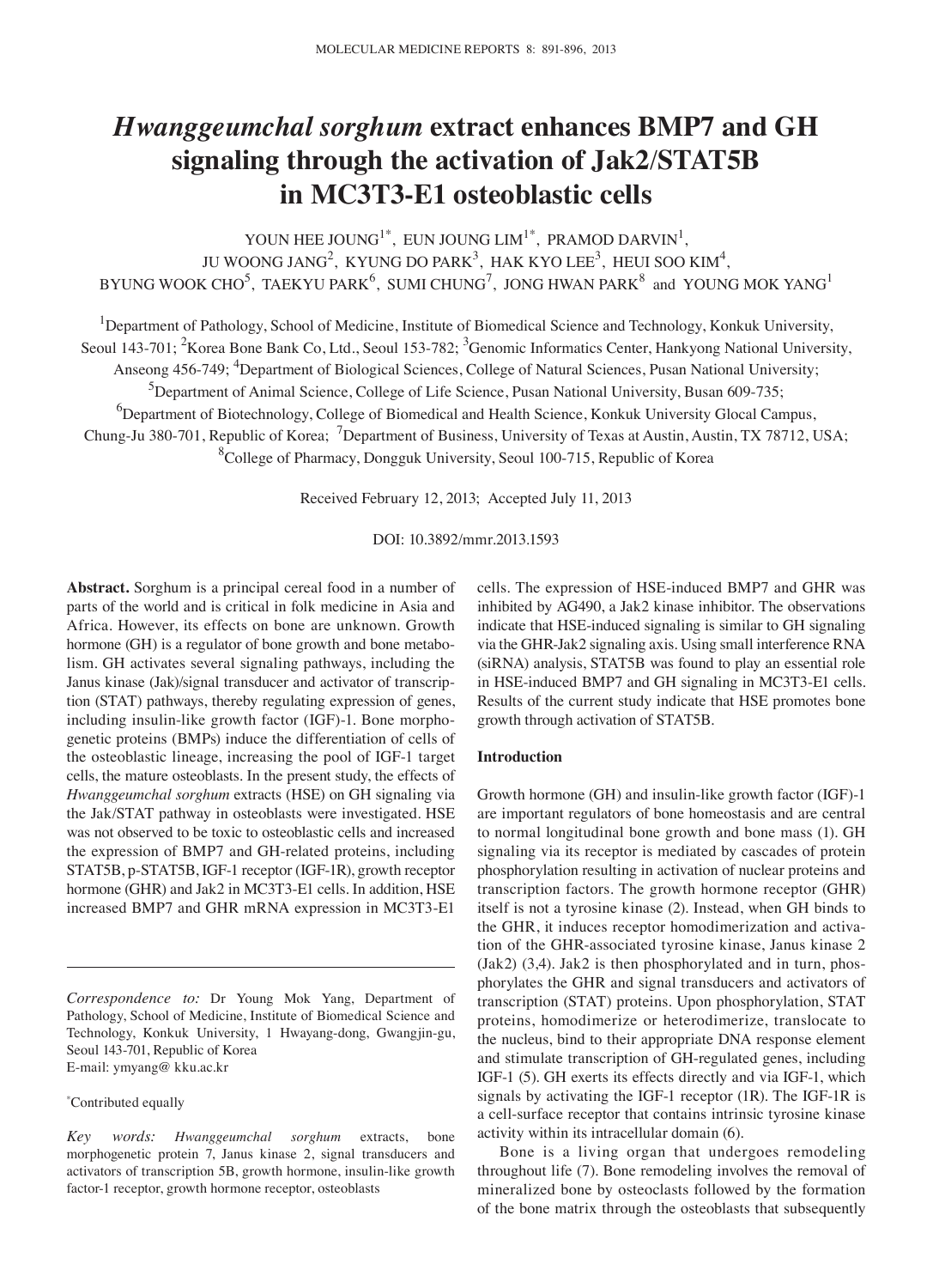# *Hwanggeumchal sorghum* **extract enhances BMP7 and GH signaling through the activation of Jak2**/**STAT5B in MC3T3‑E1 osteoblastic cells**

YOUN HEE JOUNG<sup>1\*</sup>, EUN JOUNG LIM<sup>1\*</sup>, PRAMOD DARVIN<sup>1</sup>, JU WOONG JANG<sup>2</sup>, KYUNG DO PARK<sup>3</sup>, HAK KYO LEE<sup>3</sup>, HEUI SOO KIM<sup>4</sup>, BYUNG WOOK CHO $^5$ , TAEKYU PARK $^6$ , SUMI CHUNG $^7$ , JONG HWAN PARK $^8$  and YOUNG MOK YANG $^1$ 

<sup>1</sup>Department of Pathology, School of Medicine, Institute of Biomedical Science and Technology, Konkuk University,

Seoul 143-701; <sup>2</sup>Korea Bone Bank Co, Ltd., Seoul 153-782; <sup>3</sup>Genomic Informatics Center, Hankyong National University,

Anseong 456-749; <sup>4</sup>Department of Biological Sciences, College of Natural Sciences, Pusan National University;

<sup>5</sup>Department of Animal Science, College of Life Science, Pusan National University, Busan 609-735;

<sup>6</sup>Department of Biotechnology, College of Biomedical and Health Science, Konkuk University Glocal Campus,

Chung-Ju 380-701, Republic of Korea; <sup>7</sup>Department of Business, University of Texas at Austin, Austin, TX 78712, USA;

8 College of Pharmacy, Dongguk University, Seoul 100-715, Republic of Korea

Received February 12, 2013; Accepted July 11, 2013

DOI: 10.3892/mmr.2013.1593

**Abstract.** Sorghum is a principal cereal food in a number of parts of the world and is critical in folk medicine in Asia and Africa. However, its effects on bone are unknown. Growth hormone (GH) is a regulator of bone growth and bone metabolism. GH activates several signaling pathways, including the Janus kinase (Jak)/signal transducer and activator of transcription (STAT) pathways, thereby regulating expression of genes, including insulin-like growth factor (IGF)-1. Bone morphogenetic proteins (BMPs) induce the differentiation of cells of the osteoblastic lineage, increasing the pool of IGF-1 target cells, the mature osteoblasts. In the present study, the effects of *Hwanggeumchal sorghum* extracts (HSE) on GH signaling via the Jak/STAT pathway in osteoblasts were investigated. HSE was not observed to be toxic to osteoblastic cells and increased the expression of BMP7 and GH-related proteins, including STAT5B, p-STAT5B, IGF-1 receptor (IGF-1R), growth receptor hormone (GHR) and Jak2 in MC3T3-E1 cells. In addition, HSE increased BMP7 and GHR mRNA expression in MC3T3-E1

*Correspondence to:* Dr Young Mok Yang, Department of Pathology, School of Medicine, Institute of Biomedical Science and Technology, Konkuk University, 1 Hwayang-dong, Gwangjin-gu, Seoul 143-701, Republic of Korea E-mail: ymyang@ kku.ac.kr

\* Contributed equally

*Key words: Hwanggeumchal sorghum* extracts, bone morphogenetic protein 7, Janus kinase 2, signal transducers and activators of transcription 5B, growth hormone, insulin-like growth factor-1 receptor, growth hormone receptor, osteoblasts

cells. The expression of HSE-induced BMP7 and GHR was inhibited by AG490, a Jak2 kinase inhibitor. The observations indicate that HSE-induced signaling is similar to GH signaling via the GHR-Jak2 signaling axis. Using small interference RNA (siRNA) analysis, STAT5B was found to play an essential role in HSE-induced BMP7 and GH signaling in MC3T3-E1 cells. Results of the current study indicate that HSE promotes bone growth through activation of STAT5B.

## **Introduction**

Growth hormone (GH) and insulin-like growth factor (IGF)-1 are important regulators of bone homeostasis and are central to normal longitudinal bone growth and bone mass (1). GH signaling via its receptor is mediated by cascades of protein phosphorylation resulting in activation of nuclear proteins and transcription factors. The growth hormone receptor (GHR) itself is not a tyrosine kinase (2). Instead, when GH binds to the GHR, it induces receptor homodimerization and activation of the GHR-associated tyrosine kinase, Janus kinase 2 (Jak2) (3,4). Jak2 is then phosphorylated and in turn, phosphorylates the GHR and signal transducers and activators of transcription (STAT) proteins. Upon phosphorylation, STAT proteins, homodimerize or heterodimerize, translocate to the nucleus, bind to their appropriate DNA response element and stimulate transcription of GH-regulated genes, including IGF-1 (5). GH exerts its effects directly and via IGF-1, which signals by activating the IGF-1 receptor (1R). The IGF-1R is a cell-surface receptor that contains intrinsic tyrosine kinase activity within its intracellular domain (6).

Bone is a living organ that undergoes remodeling throughout life (7). Bone remodeling involves the removal of mineralized bone by osteoclasts followed by the formation of the bone matrix through the osteoblasts that subsequently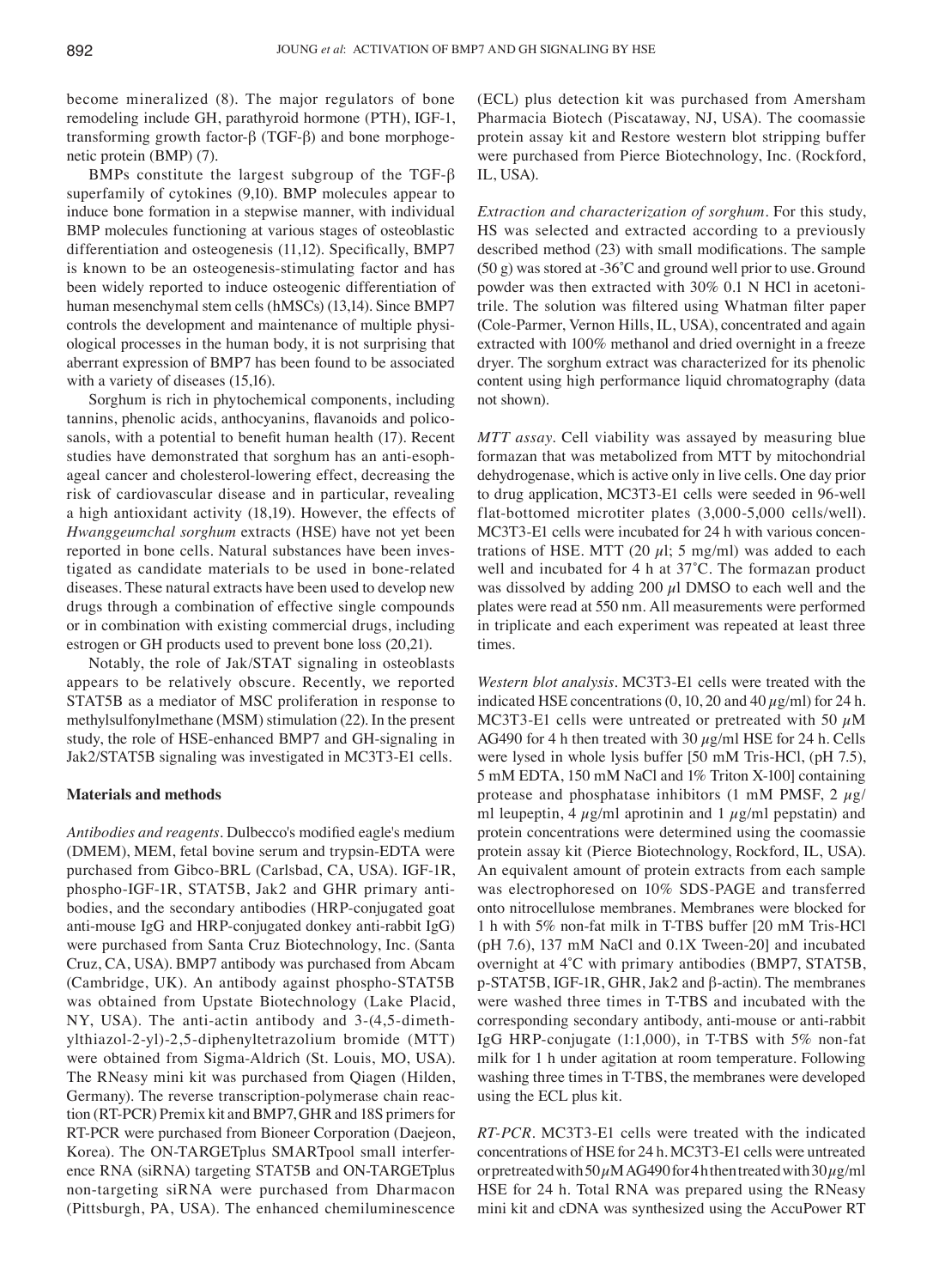become mineralized (8). The major regulators of bone remodeling include GH, parathyroid hormone (PTH), IGF-1, transforming growth factor-β (TGF-β) and bone morphogenetic protein (BMP) (7).

BMPs constitute the largest subgroup of the TGF-β superfamily of cytokines (9,10). BMP molecules appear to induce bone formation in a stepwise manner, with individual BMP molecules functioning at various stages of osteoblastic differentiation and osteogenesis (11,12). Specifically, BMP7 is known to be an osteogenesis-stimulating factor and has been widely reported to induce osteogenic differentiation of human mesenchymal stem cells (hMSCs) (13,14). Since BMP7 controls the development and maintenance of multiple physiological processes in the human body, it is not surprising that aberrant expression of BMP7 has been found to be associated with a variety of diseases (15,16).

Sorghum is rich in phytochemical components, including tannins, phenolic acids, anthocyanins, flavanoids and policosanols, with a potential to benefit human health (17). Recent studies have demonstrated that sorghum has an anti-esophageal cancer and cholesterol-lowering effect, decreasing the risk of cardiovascular disease and in particular, revealing a high antioxidant activity (18,19). However, the effects of *Hwanggeumchal sorghum* extracts (HSE) have not yet been reported in bone cells. Natural substances have been investigated as candidate materials to be used in bone-related diseases. These natural extracts have been used to develop new drugs through a combination of effective single compounds or in combination with existing commercial drugs, including estrogen or GH products used to prevent bone loss (20,21).

Notably, the role of Jak/STAT signaling in osteoblasts appears to be relatively obscure. Recently, we reported STAT5B as a mediator of MSC proliferation in response to methylsulfonylmethane (MSM) stimulation (22). In the present study, the role of HSE-enhanced BMP7 and GH-signaling in Jak2/STAT5B signaling was investigated in MC3T3-E1 cells.

## **Materials and methods**

*Antibodies and reagents.* Dulbecco's modified eagle's medium (DMEM), MEM, fetal bovine serum and trypsin-EDTA were purchased from Gibco-BRL (Carlsbad, CA, USA). IGF-1R, phospho-IGF-1R, STAT5B, Jak2 and GHR primary antibodies, and the secondary antibodies (HRP-conjugated goat anti-mouse IgG and HRP-conjugated donkey anti-rabbit IgG) were purchased from Santa Cruz Biotechnology, Inc. (Santa Cruz, CA, USA). BMP7 antibody was purchased from Abcam (Cambridge, UK). An antibody against phospho-STAT5B was obtained from Upstate Biotechnology (Lake Placid, NY, USA). The anti-actin antibody and 3-(4,5-dimethylthiazol-2-yl)-2,5-diphenyltetrazolium bromide (MTT) were obtained from Sigma-Aldrich (St. Louis, MO, USA). The RNeasy mini kit was purchased from Qiagen (Hilden, Germany). The reverse transcription-polymerase chain reaction (RT-PCR) Premix kit and BMP7, GHR and 18S primers for RT-PCR were purchased from Bioneer Corporation (Daejeon, Korea). The ON-TARGETplus SMARTpool small interference RNA (siRNA) targeting STAT5B and ON-TARGETplus non-targeting siRNA were purchased from Dharmacon (Pittsburgh, PA, USA). The enhanced chemiluminescence (ECL) plus detection kit was purchased from Amersham Pharmacia Biotech (Piscataway, NJ, USA). The coomassie protein assay kit and Restore western blot stripping buffer were purchased from Pierce Biotechnology, Inc. (Rockford, IL, USA).

*Extraction and characterization of sorghum.* For this study, HS was selected and extracted according to a previously described method (23) with small modifications. The sample  $(50 \text{ g})$  was stored at -36°C and ground well prior to use. Ground powder was then extracted with 30% 0.1 N HCl in acetonitrile. The solution was filtered using Whatman filter paper (Cole-Parmer, Vernon Hills, IL, USA), concentrated and again extracted with 100% methanol and dried overnight in a freeze dryer. The sorghum extract was characterized for its phenolic content using high performance liquid chromatography (data not shown).

*MTT assay.* Cell viability was assayed by measuring blue formazan that was metabolized from MTT by mitochondrial dehydrogenase, which is active only in live cells. One day prior to drug application, MC3T3-E1 cells were seeded in 96-well flat-bottomed microtiter plates (3,000-5,000 cells/well). MC3T3-E1 cells were incubated for 24 h with various concentrations of HSE. MTT (20  $\mu$ l; 5 mg/ml) was added to each well and incubated for 4 h at 37˚C. The formazan product was dissolved by adding 200  $\mu$ l DMSO to each well and the plates were read at 550 nm. All measurements were performed in triplicate and each experiment was repeated at least three times.

*Western blot analysis.* MC3T3-E1 cells were treated with the indicated HSE concentrations  $(0, 10, 20$  and  $40 \,\mu\text{g/ml})$  for 24 h. MC3T3-E1 cells were untreated or pretreated with 50  $\mu$ M AG490 for 4 h then treated with 30  $\mu$ g/ml HSE for 24 h. Cells were lysed in whole lysis buffer [50 mM Tris-HCl, (pH 7.5), 5 mM EDTA, 150 mM NaCl and 1% Triton X-100] containing protease and phosphatase inhibitors (1 mM PMSF, 2  $\mu$ g/ ml leupeptin, 4  $\mu$ g/ml aprotinin and 1  $\mu$ g/ml pepstatin) and protein concentrations were determined using the coomassie protein assay kit (Pierce Biotechnology, Rockford, IL, USA). An equivalent amount of protein extracts from each sample was electrophoresed on 10% SDS-PAGE and transferred onto nitrocellulose membranes. Membranes were blocked for 1 h with 5% non-fat milk in T-TBS buffer [20 mM Tris-HCl (pH 7.6), 137 mM NaCl and 0.1X Tween-20] and incubated overnight at 4˚C with primary antibodies (BMP7, STAT5B, p-STAT5B, IGF-1R, GHR, Jak2 and β-actin). The membranes were washed three times in T-TBS and incubated with the corresponding secondary antibody, anti-mouse or anti-rabbit IgG HRP-conjugate (1:1,000), in T-TBS with 5% non-fat milk for 1 h under agitation at room temperature. Following washing three times in T-TBS, the membranes were developed using the ECL plus kit.

*RT‑PCR.* MC3T3-E1 cells were treated with the indicated concentrations of HSE for 24 h. MC3T3-E1 cells were untreated or pretreated with  $50 \mu$ M AG490 for 4 h then treated with  $30 \mu$ g/ml HSE for 24 h. Total RNA was prepared using the RNeasy mini kit and cDNA was synthesized using the AccuPower RT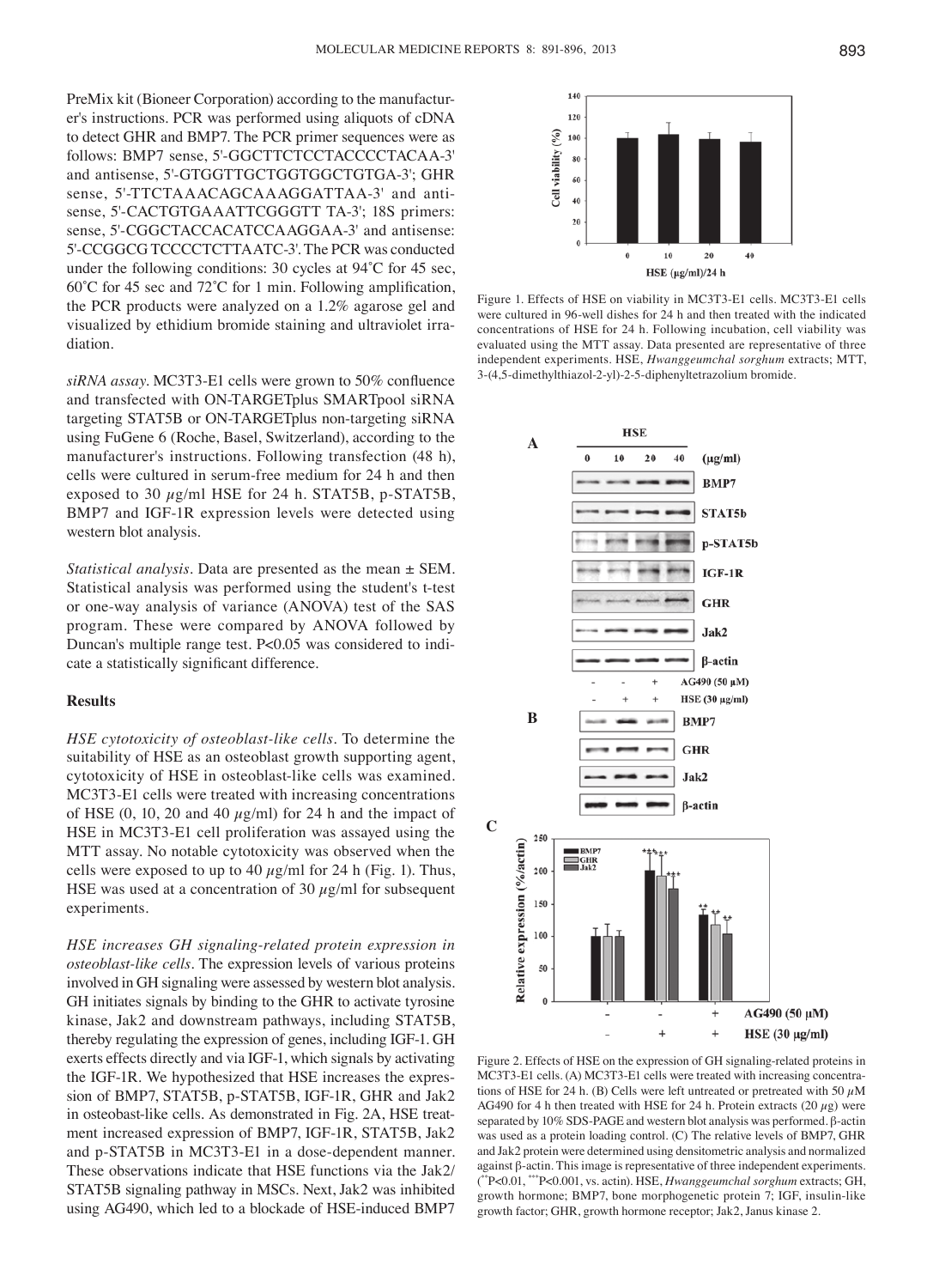PreMix kit (Bioneer Corporation) according to the manufacturer's instructions. PCR was performed using aliquots of cDNA to detect GHR and BMP7. The PCR primer sequences were as follows: BMP7 sense, 5'-GGCTTCTCCTACCCCTACAA-3' and antisense, 5'-GTGGTTGCTGGTGGCTGTGA-3'; GHR sense, 5'-TTCTAAACAGCAAAGGATTAA-3' and antisense, 5'-CACTGTGAAATTCGGGTT TA-3'; 18S primers: sense, 5'-CGGCTACCACATCCAAGGAA-3' and antisense: 5'-CCGGCG TCCCCTCTTAATC-3'. The PCR was conducted under the following conditions: 30 cycles at 94˚C for 45 sec, 60˚C for 45 sec and 72˚C for 1 min. Following amplification, the PCR products were analyzed on a 1.2% agarose gel and visualized by ethidium bromide staining and ultraviolet irradiation.

*siRNA assay.* MC3T3‑E1 cells were grown to 50% confluence and transfected with ON-TARGETplus SMARTpool siRNA targeting STAT5B or ON-TARGETplus non-targeting siRNA using FuGene 6 (Roche, Basel, Switzerland), according to the manufacturer's instructions. Following transfection (48 h), cells were cultured in serum-free medium for 24 h and then exposed to 30  $\mu$ g/ml HSE for 24 h. STAT5B, p-STAT5B, BMP7 and IGF-1R expression levels were detected using western blot analysis.

*Statistical analysis.* Data are presented as the mean ± SEM. Statistical analysis was performed using the student's t-test or one-way analysis of variance (ANOVA) test of the SAS program. These were compared by ANOVA followed by Duncan's multiple range test. P<0.05 was considered to indicate a statistically significant difference.

#### **Results**

*HSE cytotoxicity of osteoblast‑like cells.* To determine the suitability of HSE as an osteoblast growth supporting agent, cytotoxicity of HSE in osteoblast-like cells was examined. MC3T3-E1 cells were treated with increasing concentrations of HSE  $(0, 10, 20$  and  $40 \mu g/ml$  for 24 h and the impact of HSE in MC3T3-E1 cell proliferation was assayed using the MTT assay. No notable cytotoxicity was observed when the cells were exposed to up to 40  $\mu$ g/ml for 24 h (Fig. 1). Thus, HSE was used at a concentration of 30  $\mu$ g/ml for subsequent experiments.

*HSE increases GH signaling‑related protein expression in osteoblast‑like cells.* The expression levels of various proteins involved in GH signaling were assessed by western blot analysis. GH initiates signals by binding to the GHR to activate tyrosine kinase, Jak2 and downstream pathways, including STAT5B, thereby regulating the expression of genes, including IGF-1. GH exerts effects directly and via IGF-1, which signals by activating the IGF-1R. We hypothesized that HSE increases the expression of BMP7, STAT5B, p-STAT5B, IGF-1R, GHR and Jak2 in osteobast-like cells. As demonstrated in Fig. 2A, HSE treatment increased expression of BMP7, IGF-1R, STAT5B, Jak2 and p-STAT5B in MC3T3-E1 in a dose-dependent manner. These observations indicate that HSE functions via the Jak2/ STAT5B signaling pathway in MSCs. Next, Jak2 was inhibited using AG490, which led to a blockade of HSE-induced BMP7



Figure 1. Effects of HSE on viability in MC3T3-E1 cells. MC3T3-E1 cells were cultured in 96-well dishes for 24 h and then treated with the indicated concentrations of HSE for 24 h. Following incubation, cell viability was evaluated using the MTT assay. Data presented are representative of three independent experiments. HSE, *Hwanggeumchal sorghum* extracts; MTT, 3-(4,5-dimethylthiazol-2-yl)-2-5-diphenyltetrazolium bromide.



Figure 2. Effects of HSE on the expression of GH signaling-related proteins in MC3T3-E1 cells. (A) MC3T3-E1 cells were treated with increasing concentrations of HSE for 24 h. (B) Cells were left untreated or pretreated with 50  $\mu$ M AG490 for 4 h then treated with HSE for 24 h. Protein extracts (20  $\mu$ g) were separated by 10% SDS-PAGE and western blot analysis was performed. β-actin was used as a protein loading control. (C) The relative levels of BMP7, GHR and Jak2 protein were determined using densitometric analysis and normalized against β-actin. This image is representative of three independent experiments. ( \*\*P<0.01, \*\*\*P<0.001, vs. actin). HSE, *Hwanggeumchal sorghum* extracts; GH, growth hormone; BMP7, bone morphogenetic protein 7; IGF, insulin-like growth factor; GHR, growth hormone receptor; Jak2, Janus kinase 2.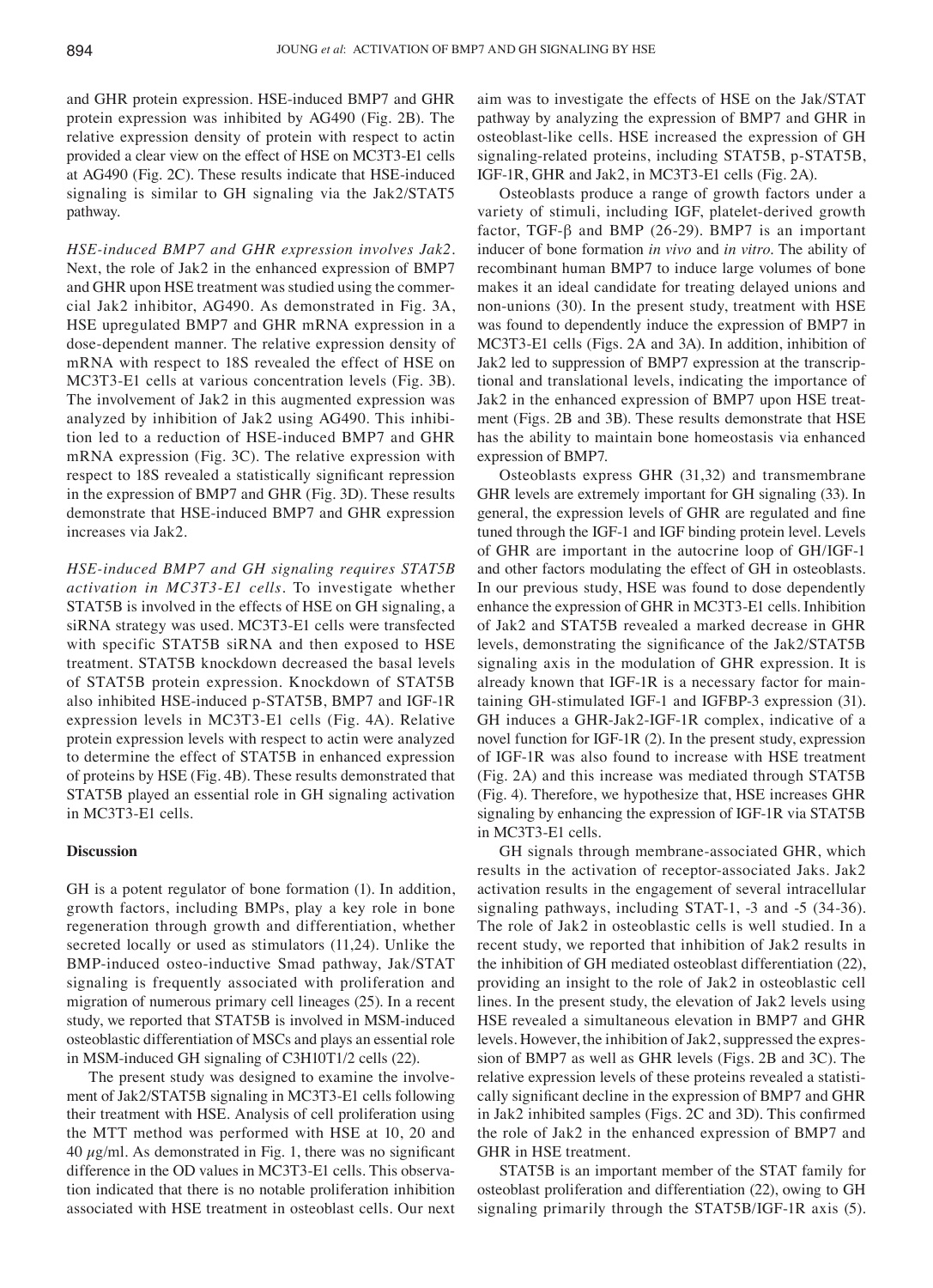and GHR protein expression. HSE-induced BMP7 and GHR protein expression was inhibited by AG490 (Fig. 2B). The relative expression density of protein with respect to actin provided a clear view on the effect of HSE on MC3T3-E1 cells at AG490 (Fig. 2C). These results indicate that HSE-induced signaling is similar to GH signaling via the Jak2/STAT5 pathway.

*HSE‑induced BMP7 and GHR expression involves Jak2.*  Next, the role of Jak2 in the enhanced expression of BMP7 and GHR upon HSE treatment was studied using the commercial Jak2 inhibitor, AG490. As demonstrated in Fig. 3A, HSE upregulated BMP7 and GHR mRNA expression in a dose-dependent manner. The relative expression density of mRNA with respect to 18S revealed the effect of HSE on MC3T3-E1 cells at various concentration levels (Fig. 3B). The involvement of Jak2 in this augmented expression was analyzed by inhibition of Jak2 using AG490. This inhibition led to a reduction of HSE-induced BMP7 and GHR mRNA expression (Fig. 3C). The relative expression with respect to 18S revealed a statistically significant repression in the expression of BMP7 and GHR (Fig. 3D). These results demonstrate that HSE-induced BMP7 and GHR expression increases via Jak2.

*HSE‑induced BMP7 and GH signaling requires STAT5B activation in MC3T3‑E1 cells.* To investigate whether STAT5B is involved in the effects of HSE on GH signaling, a siRNA strategy was used. MC3T3-E1 cells were transfected with specific STAT5B siRNA and then exposed to HSE treatment. STAT5B knockdown decreased the basal levels of STAT5B protein expression. Knockdown of STAT5B also inhibited HSE-induced p-STAT5B, BMP7 and IGF-1R expression levels in MC3T3-E1 cells (Fig. 4A). Relative protein expression levels with respect to actin were analyzed to determine the effect of STAT5B in enhanced expression of proteins by HSE (Fig. 4B). These results demonstrated that STAT5B played an essential role in GH signaling activation in MC3T3-E1 cells.

#### **Discussion**

GH is a potent regulator of bone formation (1). In addition, growth factors, including BMPs, play a key role in bone regeneration through growth and differentiation, whether secreted locally or used as stimulators (11,24). Unlike the BMP-induced osteo-inductive Smad pathway, Jak/STAT signaling is frequently associated with proliferation and migration of numerous primary cell lineages (25). In a recent study, we reported that STAT5B is involved in MSM-induced osteoblastic differentiation of MSCs and plays an essential role in MSM-induced GH signaling of C3H10T1/2 cells (22).

The present study was designed to examine the involvement of Jak2/STAT5B signaling in MC3T3-E1 cells following their treatment with HSE. Analysis of cell proliferation using the MTT method was performed with HSE at 10, 20 and 40  $\mu$ g/ml. As demonstrated in Fig. 1, there was no significant difference in the OD values in MC3T3-E1 cells. This observation indicated that there is no notable proliferation inhibition associated with HSE treatment in osteoblast cells. Our next aim was to investigate the effects of HSE on the Jak/STAT pathway by analyzing the expression of BMP7 and GHR in osteoblast-like cells. HSE increased the expression of GH signaling-related proteins, including STAT5B, p-STAT5B, IGF-1R, GHR and Jak2, in MC3T3-E1 cells (Fig. 2A).

Osteoblasts produce a range of growth factors under a variety of stimuli, including IGF, platelet-derived growth factor, TGF- $\beta$  and BMP (26-29). BMP7 is an important inducer of bone formation *in vivo* and *in vitro*. The ability of recombinant human BMP7 to induce large volumes of bone makes it an ideal candidate for treating delayed unions and non-unions (30). In the present study, treatment with HSE was found to dependently induce the expression of BMP7 in MC3T3-E1 cells (Figs. 2A and 3A). In addition, inhibition of Jak2 led to suppression of BMP7 expression at the transcriptional and translational levels, indicating the importance of Jak2 in the enhanced expression of BMP7 upon HSE treatment (Figs. 2B and 3B). These results demonstrate that HSE has the ability to maintain bone homeostasis via enhanced expression of BMP7.

Osteoblasts express GHR (31,32) and transmembrane GHR levels are extremely important for GH signaling (33). In general, the expression levels of GHR are regulated and fine tuned through the IGF-1 and IGF binding protein level. Levels of GHR are important in the autocrine loop of GH/IGF-1 and other factors modulating the effect of GH in osteoblasts. In our previous study, HSE was found to dose dependently enhance the expression of GHR in MC3T3-E1 cells. Inhibition of Jak2 and STAT5B revealed a marked decrease in GHR levels, demonstrating the significance of the Jak2/STAT5B signaling axis in the modulation of GHR expression. It is already known that IGF-1R is a necessary factor for maintaining GH-stimulated IGF-1 and IGFBP-3 expression (31). GH induces a GHR-Jak2-IGF-1R complex, indicative of a novel function for IGF-1R (2). In the present study, expression of IGF-1R was also found to increase with HSE treatment (Fig. 2A) and this increase was mediated through STAT5B (Fig. 4). Therefore, we hypothesize that, HSE increases GHR signaling by enhancing the expression of IGF-1R via STAT5B in MC3T3-E1 cells.

GH signals through membrane-associated GHR, which results in the activation of receptor-associated Jaks. Jak2 activation results in the engagement of several intracellular signaling pathways, including STAT-1, -3 and -5 (34-36). The role of Jak2 in osteoblastic cells is well studied. In a recent study, we reported that inhibition of Jak2 results in the inhibition of GH mediated osteoblast differentiation (22), providing an insight to the role of Jak2 in osteoblastic cell lines. In the present study, the elevation of Jak2 levels using HSE revealed a simultaneous elevation in BMP7 and GHR levels. However, the inhibition of Jak2, suppressed the expression of BMP7 as well as GHR levels (Figs. 2B and 3C). The relative expression levels of these proteins revealed a statistically significant decline in the expression of BMP7 and GHR in Jak2 inhibited samples (Figs. 2C and 3D). This confirmed the role of Jak2 in the enhanced expression of BMP7 and GHR in HSE treatment.

STAT5B is an important member of the STAT family for osteoblast proliferation and differentiation (22), owing to GH signaling primarily through the STAT5B/IGF-1R axis (5).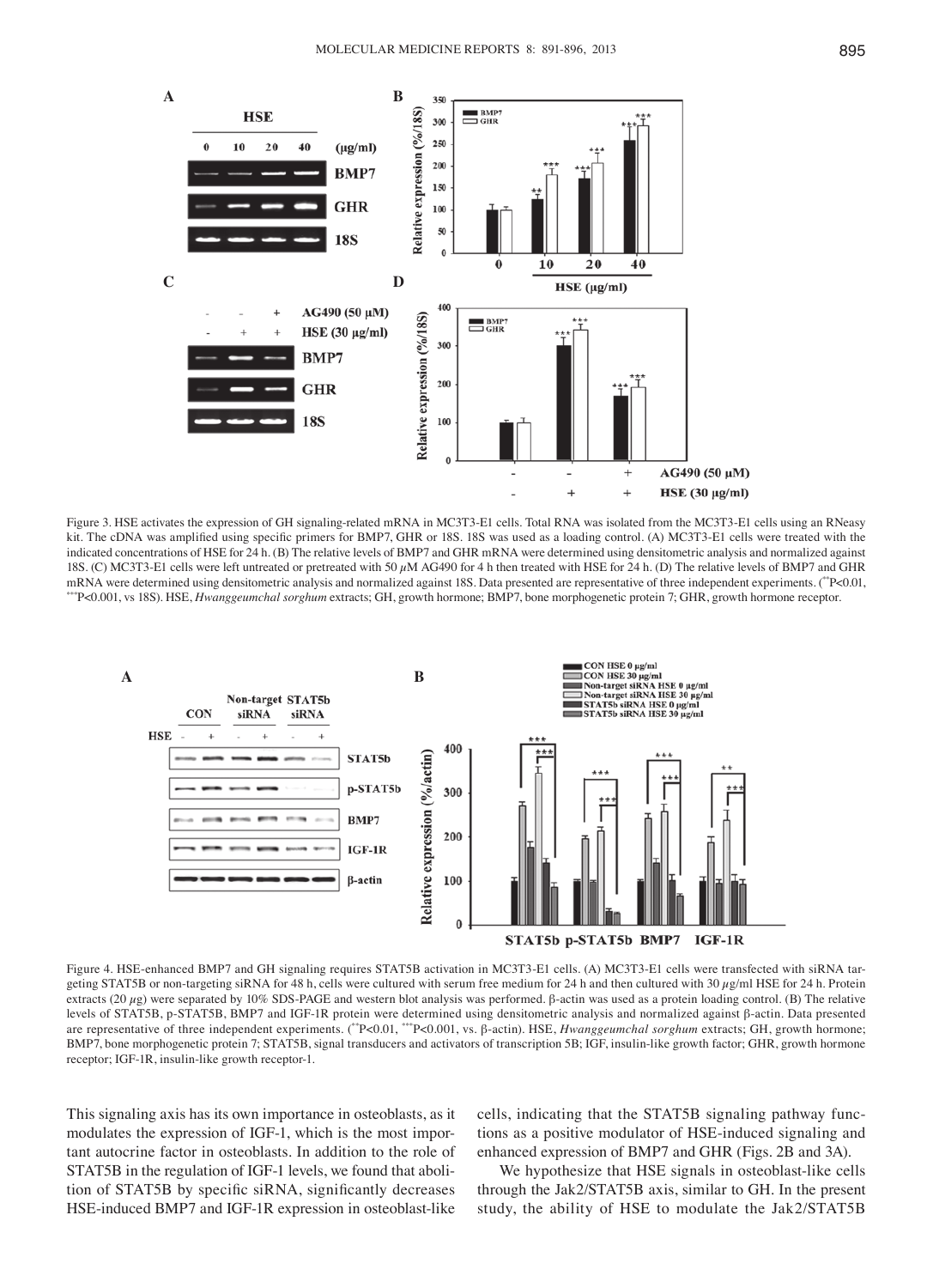![](_page_4_Figure_1.jpeg)

Figure 3. HSE activates the expression of GH signaling-related mRNA in MC3T3-E1 cells. Total RNA was isolated from the MC3T3-E1 cells using an RNeasy kit. The cDNA was amplified using specific primers for BMP7, GHR or 18S, 18S was used as a loading control. (A) MC3T3-E1 cells were treated with the indicated concentrations of HSE for 24 h. (B) The relative levels of BMP7 and GHR mRNA were determined using densitometric analysis and normalized against 18S. (C) MC3T3-E1 cells were left untreated or pretreated with 50  $\mu$ M AG490 for 4 h then treated with HSE for 24 h. (D) The relative levels of BMP7 and GHR mRNA were determined using densitometric analysis and normalize \*\*P<0.001, vs 18S). HSE, Hwanggeumchal sorghum extracts; GH, growth hormone; BMP7, bone morphogenetic protein 7; GHR, growth hormone receptor.

![](_page_4_Figure_3.jpeg)

Figure 4. HSE-enhanced BMP7 and GH signaling requires STAT5B activation in MC3T3-E1 cells. (A) MC3T3-E1 cells were transfected with siRNA targeting STAT5B or non-targeting siRNA for 48 h, cells were cultured with serum free medium for 24 h and then cultured with 30  $\mu$ g/ml HSE for 24 h. Protein extracts (20  $\mu$ g) were separated by 10% SDS-PAGE and western blot analysis was performed. β-actin was used as a protein loading control. (B) The relative levels of STAT5B, p-STAT5B, BMP7 and IGF-1R protein were determined using densitometric analysis and normalized against β-actin. Data presented are representative of three independent experiments. (\*\*P<0.01, \*\*\*P<0.001, vs. β-actin). HSE, *Hwanggeumchal sorghum* extracts; GH, growth hormone; BMP7, bone morphogenetic protein 7; STAT5B, signal transducers and activators of transcription 5B; IGF, insulin-like growth factor; GHR, growth hormone receptor; IGF-1R, insulin-like growth receptor-1.

This signaling axis has its own importance in osteoblasts, as it modulates the expression of IGF-1, which is the most important autocrine factor in osteoblasts. In addition to the role of STAT5B in the regulation of IGF-1 levels, we found that abolition of STAT5B by specific siRNA, significantly decreases HSE-induced BMP7 and IGF-1R expression in osteoblast-like cells, indicating that the STAT5B signaling pathway functions as a positive modulator of HSE-induced signaling and enhanced expression of BMP7 and GHR (Figs. 2B and 3A).

We hypothesize that HSE signals in osteoblast-like cells through the Jak2/STAT5B axis, similar to GH. In the present study, the ability of HSE to modulate the Jak2/STAT5B